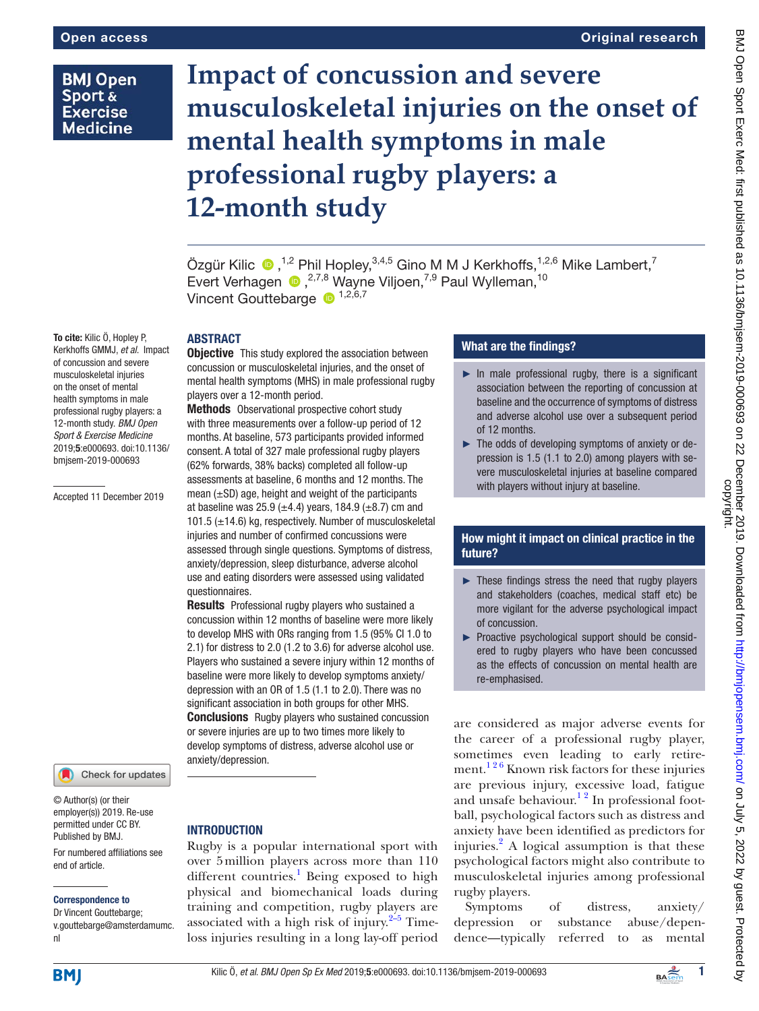# **BMJ Open** Sport & **Exercise Medicine**

To cite: Kilic Ö, Hopley P, Kerkhoffs GMMJ, *et al*. Impact of concussion and severe musculoskeletal injuries on the onset of mental health symptoms in male professional rugby players: a 12-month study. *BMJ Open Sport & Exercise Medicine* 2019;5:e000693. doi:10.1136/ bmjsem-2019-000693

Accepted 11 December 2019

# **Impact of concussion and severe musculoskeletal injuries on the onset of mental health symptoms in male professional rugby players: a 12-month study**

ÖzgürKilic  $\bullet$ ,<sup>1,2</sup> Phil Hopley,<sup>3,4,5</sup> Gino M M J Kerkhoffs,<sup>1,2,6</sup> Mike Lambert,<sup>7</sup> EvertVerhagen (a),<sup>2,7,8</sup> Wayne Viljoen,<sup>7,9</sup> Paul Wylleman,<sup>10</sup> Vincent Gouttebarge  $\bullet$  1,2,6,7

# **ABSTRACT**

**Objective** This study explored the association between concussion or musculoskeletal injuries, and the onset of mental health symptoms (MHS) in male professional rugby players over a 12-month period.

Methods Observational prospective cohort study with three measurements over a follow-up period of 12 months. At baseline, 573 participants provided informed consent. A total of 327 male professional rugby players (62% forwards, 38% backs) completed all follow-up assessments at baseline, 6 months and 12 months. The mean  $(\pm SD)$  age, height and weight of the participants at baseline was 25.9 ( $\pm$ 4.4) years, 184.9 ( $\pm$ 8.7) cm and 101.5 (±14.6) kg, respectively. Number of musculoskeletal injuries and number of confirmed concussions were assessed through single questions. Symptoms of distress, anxiety/depression, sleep disturbance, adverse alcohol use and eating disorders were assessed using validated questionnaires.

**Results** Professional rugby players who sustained a concussion within 12 months of baseline were more likely to develop MHS with ORs ranging from 1.5 (95% CI 1.0 to 2.1) for distress to 2.0 (1.2 to 3.6) for adverse alcohol use. Players who sustained a severe injury within 12 months of baseline were more likely to develop symptoms anxiety/ depression with an OR of 1.5 (1.1 to 2.0). There was no significant association in both groups for other MHS. **Conclusions** Rugby players who sustained concussion or severe injuries are up to two times more likely to develop symptoms of distress, adverse alcohol use or anxiety/depression.

# Check for updates

© Author(s) (or their employer(s)) 2019. Re-use permitted under CC BY. Published by BMJ.

For numbered affiliations see end of article.

#### Correspondence to

Dr Vincent Gouttebarge; v.gouttebarge@amsterdamumc. nl

# **INTRODUCTION**

Rugby is a popular international sport with over 5million players across more than 110 different countries.<sup>1</sup> Being exposed to high physical and biomechanical loads during training and competition, rugby players are associated with a high risk of injury. $2-5$  Timeloss injuries resulting in a long lay-off period

### What are the findings?

- $\blacktriangleright$  In male professional rugby, there is a significant association between the reporting of concussion at baseline and the occurrence of symptoms of distress and adverse alcohol use over a subsequent period of 12 months.
- ► The odds of developing symptoms of anxiety or depression is 1.5 (1.1 to 2.0) among players with severe musculoskeletal injuries at baseline compared with players without injury at baseline.

# How might it impact on clinical practice in the future?

- ► These findings stress the need that rugby players and stakeholders (coaches, medical staff etc) be more vigilant for the adverse psychological impact of concussion.
- ► Proactive psychological support should be considered to rugby players who have been concussed as the effects of concussion on mental health are re-emphasised.

are considered as major adverse events for the career of a professional rugby player, sometimes even leading to early retirement.<sup>126</sup> Known risk factors for these injuries are previous injury, excessive load, fatigue and unsafe behaviour.<sup>12</sup> In professional football, psychological factors such as distress and anxiety have been identified as predictors for injuries.<sup>[2](#page-6-0)</sup> A logical assumption is that these psychological factors might also contribute to musculoskeletal injuries among professional rugby players.

Symptoms of distress, anxiety/ depression or substance abuse/dependence—typically referred to as mental

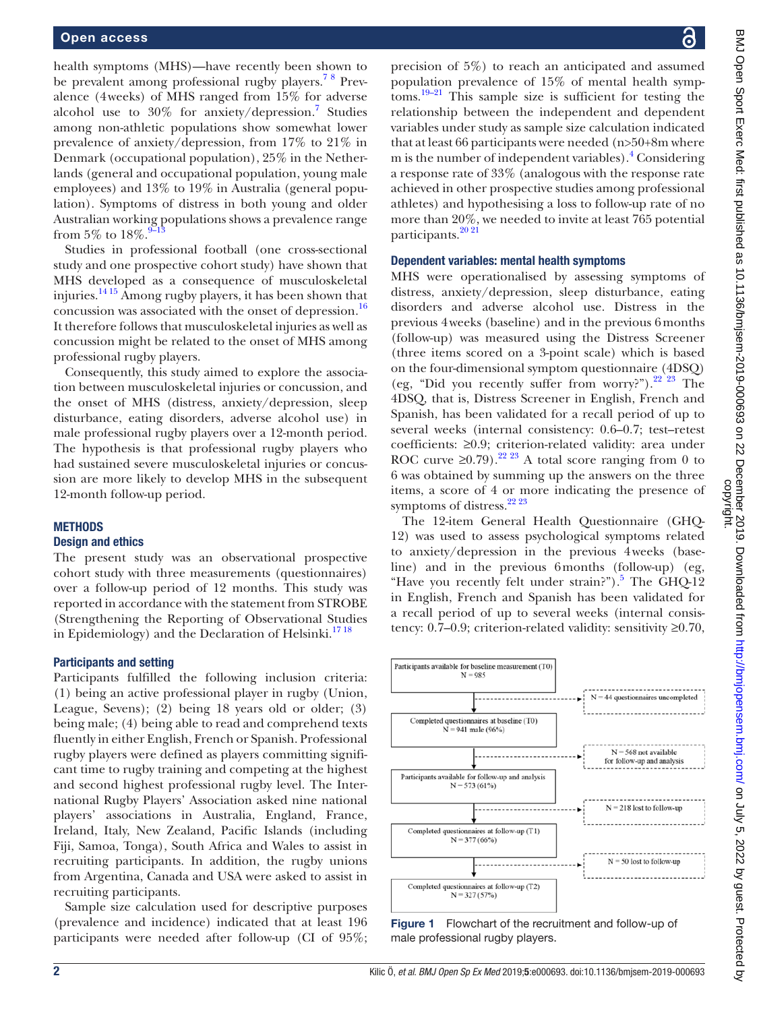health symptoms (MHS)—have recently been shown to be prevalent among professional rugby players.<sup>78</sup> Prevalence (4weeks) of MHS ranged from 15% for adverse alcohol use to  $30\%$  for anxiety/depression.<sup>7</sup> Studies among non-athletic populations show somewhat lower prevalence of anxiety/depression, from 17% to 21% in Denmark (occupational population), 25% in the Netherlands (general and occupational population, young male employees) and 13% to 19% in Australia (general population). Symptoms of distress in both young and older Australian working populations shows a prevalence range from 5% to  $18\%$ .  $9\frac{9}{13}$ 

Studies in professional football (one cross-sectional study and one prospective cohort study) have shown that MHS developed as a consequence of musculoskeletal injuries.<sup>14 15</sup> Among rugby players, it has been shown that concussion was associated with the onset of depression.<sup>16</sup> It therefore follows that musculoskeletal injuries as well as concussion might be related to the onset of MHS among professional rugby players.

Consequently, this study aimed to explore the association between musculoskeletal injuries or concussion, and the onset of MHS (distress, anxiety/depression, sleep disturbance, eating disorders, adverse alcohol use) in male professional rugby players over a 12-month period. The hypothesis is that professional rugby players who had sustained severe musculoskeletal injuries or concussion are more likely to develop MHS in the subsequent 12-month follow-up period.

### **METHODS**

### Design and ethics

The present study was an observational prospective cohort study with three measurements (questionnaires) over a follow-up period of 12 months. This study was reported in accordance with the statement from STROBE (Strengthening the Reporting of Observational Studies in Epidemiology) and the Declaration of Helsinki.<sup>[17 18](#page-6-6)</sup>

### Participants and setting

Participants fulfilled the following inclusion criteria: (1) being an active professional player in rugby (Union, League, Sevens); (2) being 18 years old or older; (3) being male; (4) being able to read and comprehend texts fluently in either English, French or Spanish. Professional rugby players were defined as players committing significant time to rugby training and competing at the highest and second highest professional rugby level. The International Rugby Players' Association asked nine national players' associations in Australia, England, France, Ireland, Italy, New Zealand, Pacific Islands (including Fiji, Samoa, Tonga), South Africa and Wales to assist in recruiting participants. In addition, the rugby unions from Argentina, Canada and USA were asked to assist in recruiting participants.

Sample size calculation used for descriptive purposes (prevalence and incidence) indicated that at least 196 participants were needed after follow-up (CI of 95%;

precision of 5%) to reach an anticipated and assumed population prevalence of 15% of mental health symptoms.<sup>19–21</sup> This sample size is sufficient for testing the relationship between the independent and dependent variables under study as sample size calculation indicated that at least 66 participants were needed (n>50+8m where m is the number of independent variables).<sup>[4](#page-6-8)</sup> Considering a response rate of 33% (analogous with the response rate achieved in other prospective studies among professional athletes) and hypothesising a loss to follow-up rate of no more than 20%, we needed to invite at least 765 potential participants.<sup>20</sup><sup>21</sup>

### Dependent variables: mental health symptoms

MHS were operationalised by assessing symptoms of distress, anxiety/depression, sleep disturbance, eating disorders and adverse alcohol use. Distress in the previous 4weeks (baseline) and in the previous 6months (follow-up) was measured using the Distress Screener (three items scored on a 3-point scale) which is based on the four-dimensional symptom questionnaire (4DSQ) (eg, "Did you recently suffer from worry?").<sup>[22 23](#page-6-10)</sup> The 4DSQ, that is, Distress Screener in English, French and Spanish, has been validated for a recall period of up to several weeks (internal consistency: 0.6–0.7; test–retest coefficients: ≥0.9; criterion-related validity: area under ROC curve  $\geq 0.79$ .<sup>[22 23](#page-6-10)</sup> A total score ranging from 0 to 6 was obtained by summing up the answers on the three items, a score of 4 or more indicating the presence of symptoms of distress.<sup>[22 23](#page-6-10)</sup>

The 12-item General Health Questionnaire (GHQ-12) was used to assess psychological symptoms related to anxiety/depression in the previous 4weeks (baseline) and in the previous 6months (follow-up) (eg, "Have you recently felt under strain?").<sup>[5](#page-6-11)</sup> The GHQ-12 in English, French and Spanish has been validated for a recall period of up to several weeks (internal consistency: 0.7–0.9; criterion-related validity: sensitivity  $\geq 0.70$ ,



<span id="page-1-0"></span>Figure 1 Flowchart of the recruitment and follow-up of male professional rugby players.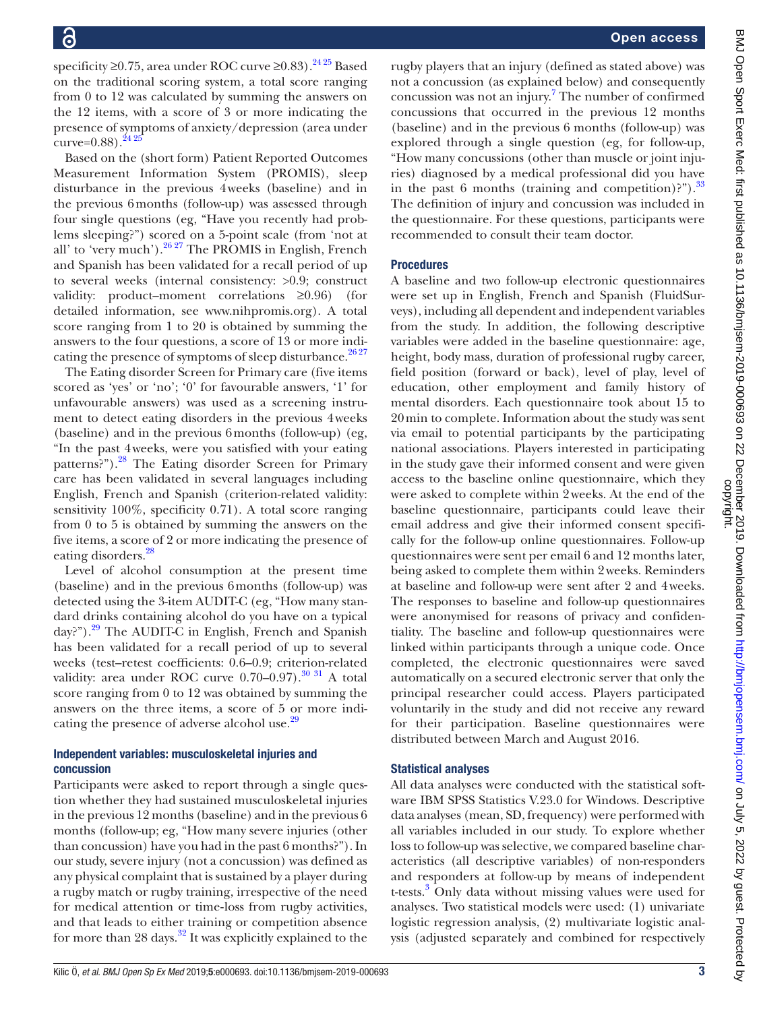specificity ≥0.75, area under ROC curve ≥0.83).<sup>24 25</sup> Based on the traditional scoring system, a total score ranging from 0 to 12 was calculated by summing the answers on the 12 items, with a score of 3 or more indicating the presence of symptoms of anxiety/depression (area under curve= $0.88$ ).  $2425$ 

Based on the (short form) Patient Reported Outcomes Measurement Information System (PROMIS), sleep disturbance in the previous 4weeks (baseline) and in the previous 6months (follow-up) was assessed through four single questions (eg, "Have you recently had problems sleeping?") scored on a 5-point scale (from 'not at all' to 'very much').<sup>26 27</sup> The PROMIS in English, French and Spanish has been validated for a recall period of up to several weeks (internal consistency: >0.9; construct validity: product–moment correlations ≥0.96) (for detailed information, see <www.nihpromis.org>). A total score ranging from 1 to 20 is obtained by summing the answers to the four questions, a score of 13 or more indicating the presence of symptoms of sleep disturbance.<sup>2627</sup>

The Eating disorder Screen for Primary care (five items scored as 'yes' or 'no'; '0' for favourable answers, '1' for unfavourable answers) was used as a screening instrument to detect eating disorders in the previous 4weeks (baseline) and in the previous 6months (follow-up) (eg, "In the past 4weeks, were you satisfied with your eating patterns?").<sup>[28](#page-6-14)</sup> The Eating disorder Screen for Primary care has been validated in several languages including English, French and Spanish (criterion-related validity: sensitivity 100%, specificity 0.71). A total score ranging from 0 to 5 is obtained by summing the answers on the five items, a score of 2 or more indicating the presence of eating disorders.<sup>28</sup>

Level of alcohol consumption at the present time (baseline) and in the previous 6months (follow-up) was detected using the 3-item AUDIT-C (eg, "How many standard drinks containing alcohol do you have on a typical day?").<sup>29</sup> The AUDIT-C in English, French and Spanish has been validated for a recall period of up to several weeks (test–retest coefficients: 0.6–0.9; criterion-related validity: area under ROC curve  $0.70-0.97$ .<sup>[30 31](#page-6-16)</sup> A total score ranging from 0 to 12 was obtained by summing the answers on the three items, a score of 5 or more indi-cating the presence of adverse alcohol use.<sup>[29](#page-6-15)</sup>

# Independent variables: musculoskeletal injuries and concussion

Participants were asked to report through a single question whether they had sustained musculoskeletal injuries in the previous 12 months (baseline) and in the previous 6 months (follow-up; eg, "How many severe injuries (other than concussion) have you had in the past 6 months?"). In our study, severe injury (not a concussion) was defined as any physical complaint that is sustained by a player during a rugby match or rugby training, irrespective of the need for medical attention or time‐loss from rugby activities, and that leads to either training or competition absence for more than 28 days.<sup>32</sup> It was explicitly explained to the

rugby players that an injury (defined as stated above) was not a concussion (as explained below) and consequently concussion was not an injury.<sup>[7](#page-6-2)</sup> The number of confirmed concussions that occurred in the previous 12 months (baseline) and in the previous 6 months (follow-up) was explored through a single question (eg, for follow-up, "How many concussions (other than muscle or joint injuries) diagnosed by a medical professional did you have in the past 6 months (training and competition)?").  $33$ The definition of injury and concussion was included in the questionnaire. For these questions, participants were recommended to consult their team doctor.

# Procedures

A baseline and two follow-up electronic questionnaires were set up in English, French and Spanish (FluidSurveys), including all dependent and independent variables from the study. In addition, the following descriptive variables were added in the baseline questionnaire: age, height, body mass, duration of professional rugby career, field position (forward or back), level of play, level of education, other employment and family history of mental disorders. Each questionnaire took about 15 to 20min to complete. Information about the study was sent via email to potential participants by the participating national associations. Players interested in participating in the study gave their informed consent and were given access to the baseline online questionnaire, which they were asked to complete within 2weeks. At the end of the baseline questionnaire, participants could leave their email address and give their informed consent specifically for the follow-up online questionnaires. Follow-up questionnaires were sent per email 6 and 12 months later, being asked to complete them within 2weeks. Reminders at baseline and follow-up were sent after 2 and 4weeks. The responses to baseline and follow-up questionnaires were anonymised for reasons of privacy and confidentiality. The baseline and follow-up questionnaires were linked within participants through a unique code. Once completed, the electronic questionnaires were saved automatically on a secured electronic server that only the principal researcher could access. Players participated voluntarily in the study and did not receive any reward for their participation. Baseline questionnaires were distributed between March and August 2016.

# Statistical analyses

All data analyses were conducted with the statistical software IBM SPSS Statistics V.23.0 for Windows. Descriptive data analyses (mean, SD, frequency) were performed with all variables included in our study. To explore whether loss to follow-up was selective, we compared baseline characteristics (all descriptive variables) of non-responders and responders at follow-up by means of independent t-tests.<sup>[3](#page-6-19)</sup> Only data without missing values were used for analyses. Two statistical models were used: (1) univariate logistic regression analysis, (2) multivariate logistic analysis (adjusted separately and combined for respectively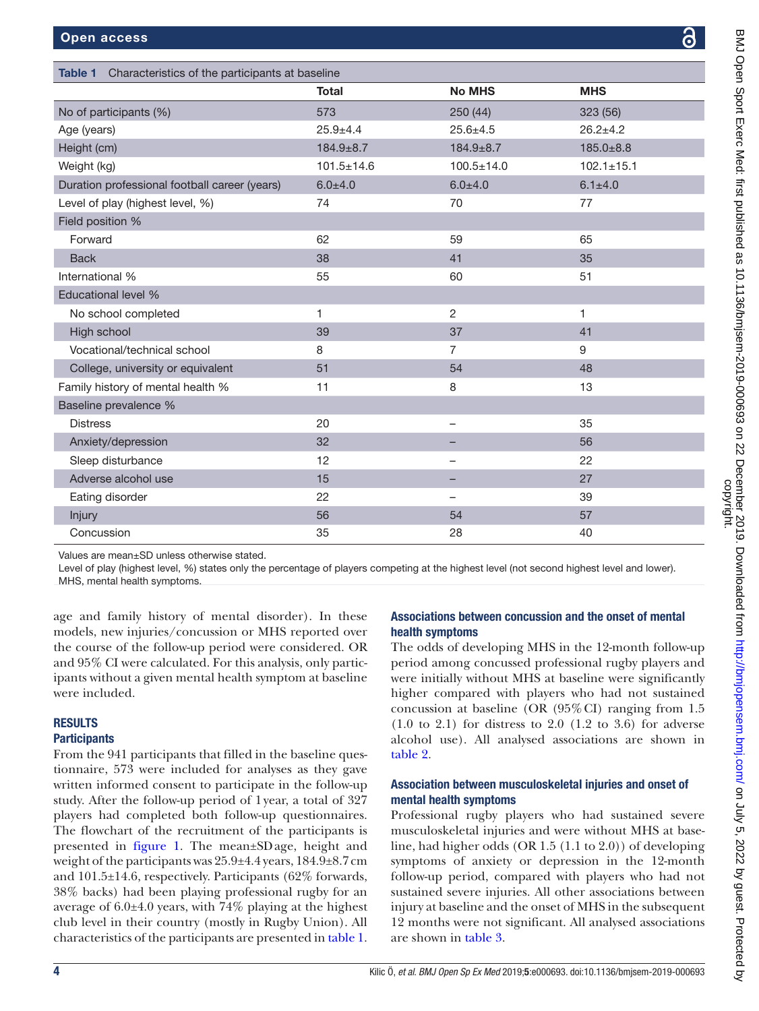<span id="page-3-0"></span>

| Table 1<br>Characteristics of the participants at baseline |                  |                  |                  |  |  |
|------------------------------------------------------------|------------------|------------------|------------------|--|--|
|                                                            | <b>Total</b>     | <b>No MHS</b>    | <b>MHS</b>       |  |  |
| No of participants (%)                                     | 573              | 250 (44)         | 323(56)          |  |  |
| Age (years)                                                | $25.9 + 4.4$     | $25.6 \pm 4.5$   | $26.2 + 4.2$     |  |  |
| Height (cm)                                                | $184.9 \pm 8.7$  | $184.9 \pm 8.7$  | $185.0 \pm 8.8$  |  |  |
| Weight (kg)                                                | $101.5 \pm 14.6$ | $100.5 \pm 14.0$ | $102.1 \pm 15.1$ |  |  |
| Duration professional football career (years)              | $6.0 + 4.0$      | $6.0 + 4.0$      | $6.1 \pm 4.0$    |  |  |
| Level of play (highest level, %)                           | 74               | 70               | 77               |  |  |
| Field position %                                           |                  |                  |                  |  |  |
| Forward                                                    | 62               | 59               | 65               |  |  |
| <b>Back</b>                                                | 38               | 41               | 35               |  |  |
| International %                                            | 55               | 60               | 51               |  |  |
| Educational level %                                        |                  |                  |                  |  |  |
| No school completed                                        | 1                | $\overline{2}$   | $\mathbf{1}$     |  |  |
| High school                                                | 39               | 37               | 41               |  |  |
| Vocational/technical school                                | 8                | $\overline{7}$   | 9                |  |  |
| College, university or equivalent                          | 51               | 54               | 48               |  |  |
| Family history of mental health %                          | 11               | 8                | 13               |  |  |
| Baseline prevalence %                                      |                  |                  |                  |  |  |
| <b>Distress</b>                                            | 20               |                  | 35               |  |  |
| Anxiety/depression                                         | 32               |                  | 56               |  |  |
| Sleep disturbance                                          | 12               | -                | 22               |  |  |
| Adverse alcohol use                                        | 15               |                  | 27               |  |  |
| Eating disorder                                            | 22               |                  | 39               |  |  |
| Injury                                                     | 56               | 54               | 57               |  |  |
| Concussion                                                 | 35               | 28               | 40               |  |  |

Values are mean±SD unless otherwise stated.

Level of play (highest level, %) states only the percentage of players competing at the highest level (not second highest level and lower). MHS, mental health symptoms.

age and family history of mental disorder). In these models, new injuries/concussion or MHS reported over the course of the follow-up period were considered. OR and 95% CI were calculated. For this analysis, only participants without a given mental health symptom at baseline were included.

# **RESULTS**

# **Participants**

From the 941 participants that filled in the baseline questionnaire, 573 were included for analyses as they gave written informed consent to participate in the follow-up study. After the follow-up period of 1year, a total of 327 players had completed both follow-up questionnaires. The flowchart of the recruitment of the participants is presented in [figure](#page-1-0) 1. The mean±SDage, height and weight of the participants was 25.9±4.4 years, 184.9±8.7cm and 101.5±14.6, respectively. Participants (62% forwards, 38% backs) had been playing professional rugby for an average of 6.0±4.0 years, with 74% playing at the highest club level in their country (mostly in Rugby Union). All characteristics of the participants are presented in [table](#page-3-0) 1.

# Associations between concussion and the onset of mental health symptoms

The odds of developing MHS in the 12-month follow-up period among concussed professional rugby players and were initially without MHS at baseline were significantly higher compared with players who had not sustained concussion at baseline (OR (95%CI) ranging from 1.5  $(1.0 \text{ to } 2.1)$  for distress to  $2.0 \text{ } (1.2 \text{ to } 3.6)$  for adverse alcohol use). All analysed associations are shown in [table](#page-4-0) 2.

# Association between musculoskeletal injuries and onset of mental health symptoms

Professional rugby players who had sustained severe musculoskeletal injuries and were without MHS at baseline, had higher odds (OR 1.5 (1.1 to 2.0)) of developing symptoms of anxiety or depression in the 12-month follow-up period, compared with players who had not sustained severe injuries. All other associations between injury at baseline and the onset of MHS in the subsequent 12 months were not significant. All analysed associations are shown in [table](#page-4-1) 3.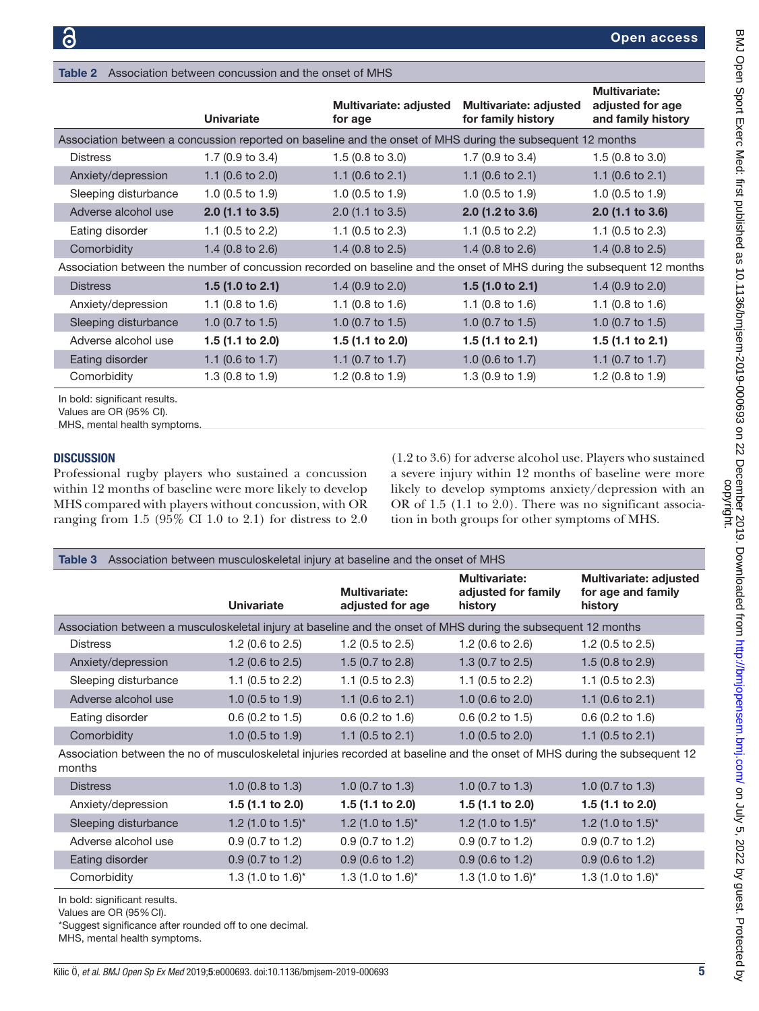|                                                                                                                        |                             |                                   |                                              | <b>Multivariate:</b>                   |
|------------------------------------------------------------------------------------------------------------------------|-----------------------------|-----------------------------------|----------------------------------------------|----------------------------------------|
|                                                                                                                        | <b>Univariate</b>           | Multivariate: adjusted<br>for age | Multivariate: adjusted<br>for family history | adjusted for age<br>and family history |
| Association between a concussion reported on baseline and the onset of MHS during the subsequent 12 months             |                             |                                   |                                              |                                        |
| <b>Distress</b>                                                                                                        | 1.7 $(0.9 \text{ to } 3.4)$ | 1.5 $(0.8 \text{ to } 3.0)$       | 1.7 $(0.9 \text{ to } 3.4)$                  | 1.5 $(0.8 \text{ to } 3.0)$            |
| Anxiety/depression                                                                                                     | 1.1 $(0.6 \text{ to } 2.0)$ | 1.1 $(0.6 \text{ to } 2.1)$       | 1.1 $(0.6 \text{ to } 2.1)$                  | 1.1 $(0.6 \text{ to } 2.1)$            |
| Sleeping disturbance                                                                                                   | 1.0 $(0.5 \text{ to } 1.9)$ | 1.0 $(0.5 \text{ to } 1.9)$       | 1.0 $(0.5$ to 1.9)                           | 1.0 $(0.5 \text{ to } 1.9)$            |
| Adverse alcohol use                                                                                                    | $2.0$ (1.1 to 3.5)          | $2.0$ (1.1 to 3.5)                | $2.0$ (1.2 to 3.6)                           | $2.0$ (1.1 to 3.6)                     |
| Eating disorder                                                                                                        | 1.1 $(0.5 \text{ to } 2.2)$ | 1.1 $(0.5 \text{ to } 2.3)$       | 1.1 $(0.5 \text{ to } 2.2)$                  | 1.1 $(0.5 \text{ to } 2.3)$            |
| Comorbidity                                                                                                            | 1.4 $(0.8 \text{ to } 2.6)$ | 1.4 $(0.8 \text{ to } 2.5)$       | 1.4 $(0.8 \text{ to } 2.6)$                  | 1.4 $(0.8 \text{ to } 2.5)$            |
| Association between the number of concussion recorded on baseline and the onset of MHS during the subsequent 12 months |                             |                                   |                                              |                                        |
| <b>Distress</b>                                                                                                        | 1.5 $(1.0 to 2.1)$          | 1.4 $(0.9 \text{ to } 2.0)$       | 1.5 $(1.0 to 2.1)$                           | 1.4 $(0.9 \text{ to } 2.0)$            |
| Anxiety/depression                                                                                                     | 1.1 $(0.8 \text{ to } 1.6)$ | 1.1 $(0.8 \text{ to } 1.6)$       | 1.1 $(0.8 \text{ to } 1.6)$                  | 1.1 $(0.8 \text{ to } 1.6)$            |
| Sleeping disturbance                                                                                                   | 1.0 $(0.7 \text{ to } 1.5)$ | 1.0 $(0.7 \text{ to } 1.5)$       | 1.0 $(0.7 \text{ to } 1.5)$                  | 1.0 $(0.7 \text{ to } 1.5)$            |
| Adverse alcohol use                                                                                                    | 1.5 $(1.1$ to 2.0)          | 1.5 $(1.1$ to 2.0)                | 1.5 $(1.1 to 2.1)$                           | 1.5 $(1.1$ to 2.1)                     |
| Eating disorder                                                                                                        | 1.1 $(0.6 \text{ to } 1.7)$ | 1.1 $(0.7 \text{ to } 1.7)$       | 1.0 $(0.6 \text{ to } 1.7)$                  | 1.1 $(0.7 \text{ to } 1.7)$            |
| Comorbidity                                                                                                            | 1.3 $(0.8 \text{ to } 1.9)$ | 1.2 $(0.8 \text{ to } 1.9)$       | 1.3 $(0.9 \text{ to } 1.9)$                  | 1.2 (0.8 to 1.9)                       |

In bold: significant results.

Values are OR (95% CI).

MHS, mental health symptoms.

### **DISCUSSION**

Professional rugby players who sustained a concussion within 12 months of baseline were more likely to develop MHS compared with players without concussion, with OR ranging from 1.5 (95% CI 1.0 to 2.1) for distress to 2.0

<span id="page-4-0"></span>Table 2 Association between concussion and the onset of MHS

(1.2 to 3.6) for adverse alcohol use. Players who sustained a severe injury within 12 months of baseline were more likely to develop symptoms anxiety/depression with an OR of 1.5 (1.1 to 2.0). There was no significant association in both groups for other symptoms of MHS.

<span id="page-4-1"></span>

| Association between musculoskeletal injury at baseline and the onset of MHS<br>Table 3                                              |                             |                                   |                                                        |                                                                |  |  |
|-------------------------------------------------------------------------------------------------------------------------------------|-----------------------------|-----------------------------------|--------------------------------------------------------|----------------------------------------------------------------|--|--|
|                                                                                                                                     | <b>Univariate</b>           | Multivariate:<br>adjusted for age | <b>Multivariate:</b><br>adjusted for family<br>history | <b>Multivariate: adjusted</b><br>for age and family<br>history |  |  |
| Association between a musculoskeletal injury at baseline and the onset of MHS during the subsequent 12 months                       |                             |                                   |                                                        |                                                                |  |  |
| <b>Distress</b>                                                                                                                     | 1.2 $(0.6 \text{ to } 2.5)$ | 1.2 $(0.5 \text{ to } 2.5)$       | 1.2 $(0.6 \text{ to } 2.6)$                            | 1.2 $(0.5 \text{ to } 2.5)$                                    |  |  |
| Anxiety/depression                                                                                                                  | 1.2 $(0.6 \text{ to } 2.5)$ | 1.5 $(0.7 \text{ to } 2.8)$       | 1.3 $(0.7 \text{ to } 2.5)$                            | 1.5 $(0.8 \text{ to } 2.9)$                                    |  |  |
| Sleeping disturbance                                                                                                                | 1.1 (0.5 to 2.2)            | 1.1 (0.5 to 2.3)                  | 1.1 (0.5 to 2.2)                                       | 1.1 (0.5 to 2.3)                                               |  |  |
| Adverse alcohol use                                                                                                                 | 1.0 $(0.5$ to 1.9)          | 1.1 $(0.6 \text{ to } 2.1)$       | 1.0 (0.6 to 2.0)                                       | 1.1 (0.6 to 2.1)                                               |  |  |
| Eating disorder                                                                                                                     | $0.6$ (0.2 to 1.5)          | $0.6$ (0.2 to 1.6)                | $0.6$ (0.2 to 1.5)                                     | $0.6$ (0.2 to 1.6)                                             |  |  |
| Comorbidity                                                                                                                         | 1.0 $(0.5$ to 1.9)          | 1.1 $(0.5 \text{ to } 2.1)$       | 1.0 (0.5 to 2.0)                                       | 1.1 (0.5 to 2.1)                                               |  |  |
| Association between the no of musculoskeletal injuries recorded at baseline and the onset of MHS during the subsequent 12<br>months |                             |                                   |                                                        |                                                                |  |  |
| <b>Distress</b>                                                                                                                     | 1.0 (0.8 to 1.3)            | 1.0 (0.7 to 1.3)                  | 1.0 (0.7 to 1.3)                                       | 1.0 (0.7 to 1.3)                                               |  |  |
| Anxiety/depression                                                                                                                  | 1.5 (1.1 to 2.0)            | 1.5 (1.1 to 2.0)                  | 1.5 (1.1 to 2.0)                                       | 1.5 (1.1 to 2.0)                                               |  |  |
| Sleeping disturbance                                                                                                                | 1.2 (1.0 to $1.5$ )*        | 1.2 (1.0 to $1.5$ )*              | 1.2 (1.0 to $1.5$ )*                                   | 1.2 (1.0 to $1.5$ )*                                           |  |  |
| Adverse alcohol use                                                                                                                 | 0.9 (0.7 to 1.2)            | 0.9 (0.7 to 1.2)                  | $0.9$ (0.7 to 1.2)                                     | 0.9 (0.7 to 1.2)                                               |  |  |
| Eating disorder                                                                                                                     | $0.9$ (0.7 to 1.2)          | $0.9$ (0.6 to 1.2)                | $0.9$ (0.6 to 1.2)                                     | $0.9$ (0.6 to 1.2)                                             |  |  |
| Comorbidity                                                                                                                         | 1.3 (1.0 to 1.6)*           | 1.3 (1.0 to 1.6)*                 | 1.3 (1.0 to 1.6)*                                      | 1.3 (1.0 to 1.6)*                                              |  |  |
| the departure of confidence in the contract                                                                                         |                             |                                   |                                                        |                                                                |  |  |

In bold: significant results.

Values are OR (95%CI).

\*Suggest significance after rounded off to one decimal.

MHS, mental health symptoms.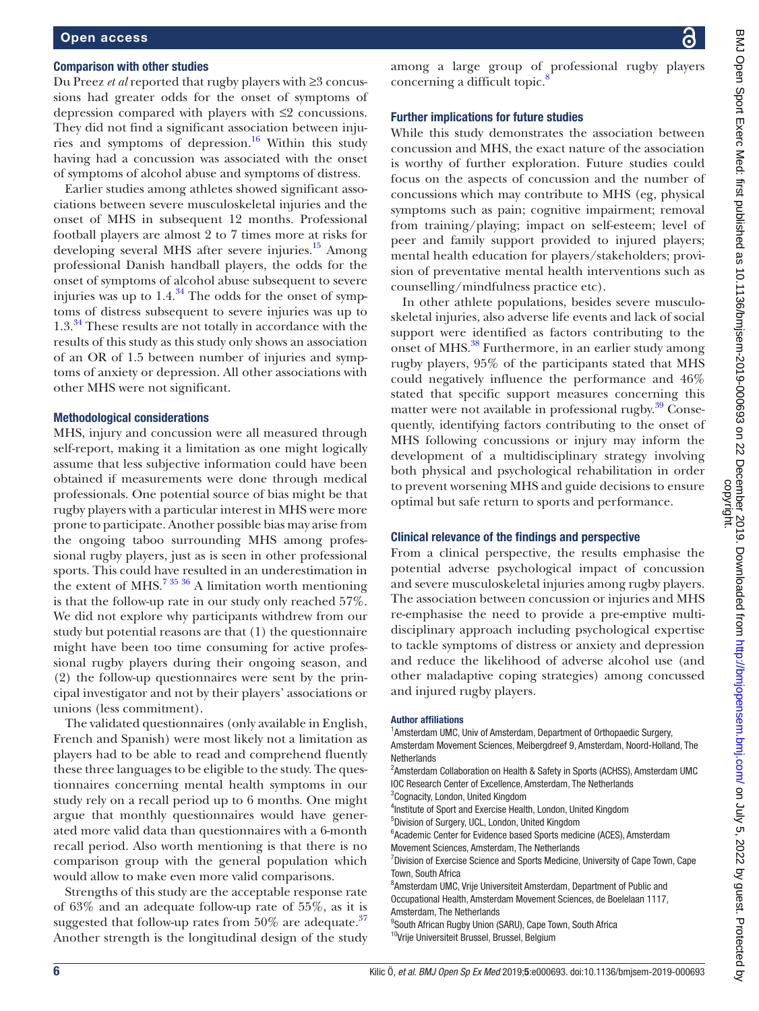### Comparison with other studies

Du Preez *et al* reported that rugby players with ≥3 concussions had greater odds for the onset of symptoms of depression compared with players with ≤2 concussions. They did not find a significant association between injuries and symptoms of depression.<sup>16</sup> Within this study having had a concussion was associated with the onset of symptoms of alcohol abuse and symptoms of distress.

Earlier studies among athletes showed significant associations between severe musculoskeletal injuries and the onset of MHS in subsequent 12 months. Professional football players are almost 2 to 7 times more at risks for developing several MHS after severe injuries.<sup>15</sup> Among professional Danish handball players, the odds for the onset of symptoms of alcohol abuse subsequent to severe injuries was up to  $1.4^{34}$  The odds for the onset of symptoms of distress subsequent to severe injuries was up to 1.3.<sup>[34](#page-6-21)</sup> These results are not totally in accordance with the results of this study as this study only shows an association of an OR of 1.5 between number of injuries and symptoms of anxiety or depression. All other associations with other MHS were not significant.

### Methodological considerations

MHS, injury and concussion were all measured through self-report, making it a limitation as one might logically assume that less subjective information could have been obtained if measurements were done through medical professionals. One potential source of bias might be that rugby players with a particular interest in MHS were more prone to participate. Another possible bias may arise from the ongoing taboo surrounding MHS among professional rugby players, just as is seen in other professional sports. This could have resulted in an underestimation in the extent of MHS.<sup>7 35</sup>  $36$  A limitation worth mentioning is that the follow-up rate in our study only reached 57%. We did not explore why participants withdrew from our study but potential reasons are that (1) the questionnaire might have been too time consuming for active professional rugby players during their ongoing season, and (2) the follow-up questionnaires were sent by the principal investigator and not by their players' associations or unions (less commitment).

The validated questionnaires (only available in English, French and Spanish) were most likely not a limitation as players had to be able to read and comprehend fluently these three languages to be eligible to the study. The questionnaires concerning mental health symptoms in our study rely on a recall period up to 6 months. One might argue that monthly questionnaires would have generated more valid data than questionnaires with a 6-month recall period. Also worth mentioning is that there is no comparison group with the general population which would allow to make even more valid comparisons.

Strengths of this study are the acceptable response rate of 63% and an adequate follow-up rate of 55%, as it is suggested that follow-up rates from  $50\%$  are adequate.<sup>37</sup> Another strength is the longitudinal design of the study among a large group of professional rugby players concerning a difficult topic. $\delta$ 

## Further implications for future studies

While this study demonstrates the association between concussion and MHS, the exact nature of the association is worthy of further exploration. Future studies could focus on the aspects of concussion and the number of concussions which may contribute to MHS (eg, physical symptoms such as pain; cognitive impairment; removal from training/playing; impact on self-esteem; level of peer and family support provided to injured players; mental health education for players/stakeholders; provision of preventative mental health interventions such as counselling/mindfulness practice etc).

In other athlete populations, besides severe musculoskeletal injuries, also adverse life events and lack of social support were identified as factors contributing to the onset of MHS.<sup>[38](#page-7-1)</sup> Furthermore, in an earlier study among rugby players, 95% of the participants stated that MHS could negatively influence the performance and 46% stated that specific support measures concerning this matter were not available in professional rugby.<sup>39</sup> Consequently, identifying factors contributing to the onset of MHS following concussions or injury may inform the development of a multidisciplinary strategy involving both physical and psychological rehabilitation in order to prevent worsening MHS and guide decisions to ensure optimal but safe return to sports and performance.

### Clinical relevance of the findings and perspective

From a clinical perspective, the results emphasise the potential adverse psychological impact of concussion and severe musculoskeletal injuries among rugby players. The association between concussion or injuries and MHS re-emphasise the need to provide a pre-emptive multidisciplinary approach including psychological expertise to tackle symptoms of distress or anxiety and depression and reduce the likelihood of adverse alcohol use (and other maladaptive coping strategies) among concussed and injured rugby players.

### Author affiliations

<sup>1</sup> Amsterdam UMC, Univ of Amsterdam, Department of Orthopaedic Surgery, Amsterdam Movement Sciences, Meibergdreef 9, Amsterdam, Noord-Holland, The **Netherlands** <sup>2</sup> Amsterdam Collaboration on Health & Safety in Sports (ACHSS), Amsterdam UMC

- IOC Research Center of Excellence, Amsterdam, The Netherlands
- <sup>3</sup>Cognacity, London, United Kingdom
- <sup>4</sup>Institute of Sport and Exercise Health, London, United Kingdom
- 5 Division of Surgery, UCL, London, United Kingdom
- 6 Academic Center for Evidence based Sports medicine (ACES), Amsterdam Movement Sciences, Amsterdam, The Netherlands
- <sup>7</sup> Division of Exercise Science and Sports Medicine, University of Cape Town, Cape Town, South Africa
- 8 Amsterdam UMC, Vrije Universiteit Amsterdam, Department of Public and Occupational Health, Amsterdam Movement Sciences, de Boelelaan 1117, Amsterdam, The Netherlands
- <sup>9</sup>South African Rugby Union (SARU), Cape Town, South Africa <sup>10</sup>Vrije Universiteit Brussel, Brussel, Belgium
-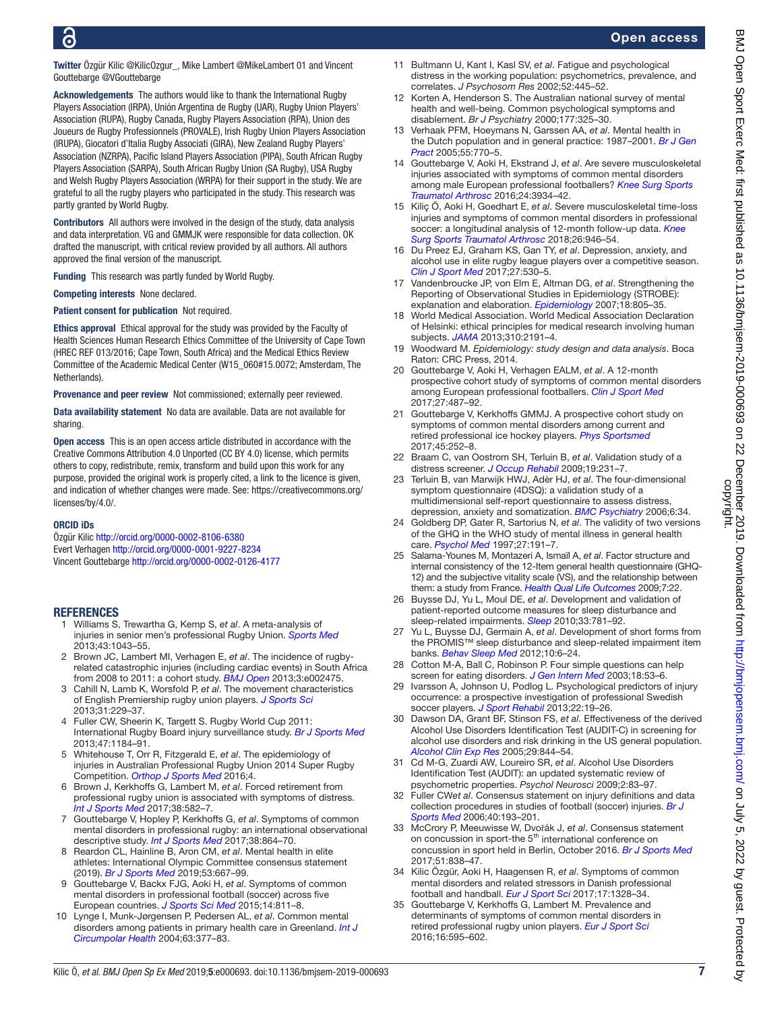Twitter Özgür Kilic [@KilicOzgur\\_](https://twitter.com/KilicOzgur_), Mike Lambert [@MikeLambert 01](https://twitter.com/MikeLambert 01) and Vincent Gouttebarge [@VGouttebarge](https://twitter.com/VGouttebarge)

Acknowledgements The authors would like to thank the International Rugby Players Association (IRPA), Unión Argentina de Rugby (UAR), Rugby Union Players' Association (RUPA), Rugby Canada, Rugby Players Association (RPA), Union des Joueurs de Rugby Professionnels (PROVALE), Irish Rugby Union Players Association (IRUPA), Giocatori d'Italia Rugby Associati (GIRA), New Zealand Rugby Players' Association (NZRPA), Pacific Island Players Association (PIPA), South African Rugby Players Association (SARPA), South African Rugby Union (SA Rugby), USA Rugby and Welsh Rugby Players Association (WRPA) for their support in the study. We are grateful to all the rugby players who participated in the study. This research was partly granted by World Rugby.

Contributors All authors were involved in the design of the study, data analysis and data interpretation. VG and GMMJK were responsible for data collection. OK drafted the manuscript, with critical review provided by all authors. All authors approved the final version of the manuscript.

Funding This research was partly funded by World Rugby.

Competing interests None declared.

Patient consent for publication Not required.

Ethics approval Ethical approval for the study was provided by the Faculty of Health Sciences Human Research Ethics Committee of the University of Cape Town (HREC REF 013/2016; Cape Town, South Africa) and the Medical Ethics Review Committee of the Academic Medical Center (W15\_060#15.0072; Amsterdam, The Netherlands).

Provenance and peer review Not commissioned; externally peer reviewed.

Data availability statement No data are available. Data are not available for sharing.

Open access This is an open access article distributed in accordance with the Creative Commons Attribution 4.0 Unported (CC BY 4.0) license, which permits others to copy, redistribute, remix, transform and build upon this work for any purpose, provided the original work is properly cited, a link to the licence is given, and indication of whether changes were made. See: [https://creativecommons.org/](https://creativecommons.org/licenses/by/4.0/) [licenses/by/4.0/](https://creativecommons.org/licenses/by/4.0/).

### ORCID iDs

Özgür Kilic<http://orcid.org/0000-0002-8106-6380> Evert Verhagen <http://orcid.org/0000-0001-9227-8234> Vincent Gouttebarge <http://orcid.org/0000-0002-0126-4177>

### **REFERENCES**

- <span id="page-6-1"></span>1 Williams S, Trewartha G, Kemp S, *et al*. A meta-analysis of injuries in senior men's professional Rugby Union. *[Sports Med](http://dx.doi.org/10.1007/s40279-013-0078-1)* 2013;43:1043–55.
- <span id="page-6-0"></span>2 Brown JC, Lambert MI, Verhagen E, *et al*. The incidence of rugbyrelated catastrophic injuries (including cardiac events) in South Africa from 2008 to 2011: a cohort study. *[BMJ Open](http://dx.doi.org/10.1136/bmjopen-2012-002475)* 2013;3:e002475.
- <span id="page-6-19"></span>3 Cahill N, Lamb K, Worsfold P, *et al*. The movement characteristics of English Premiership rugby union players. *[J Sports Sci](http://dx.doi.org/10.1080/02640414.2012.727456)* 2013;31:229–37.
- <span id="page-6-8"></span>4 Fuller CW, Sheerin K, Targett S. Rugby World Cup 2011: International Rugby Board injury surveillance study. *[Br J Sports Med](http://dx.doi.org/10.1136/bjsports-2012-091155)* 2013;47:1184–91.
- <span id="page-6-11"></span>5 Whitehouse T, Orr R, Fitzgerald E, *et al*. The epidemiology of injuries in Australian Professional Rugby Union 2014 Super Rugby Competition. *[Orthop J Sports Med](http://dx.doi.org/10.1177/2325967116634075)* 2016;4.
- 6 Brown J, Kerkhoffs G, Lambert M, *et al*. Forced retirement from professional rugby union is associated with symptoms of distress. *[Int J Sports Med](http://dx.doi.org/10.1055/s-0043-103959)* 2017;38:582–7.
- <span id="page-6-2"></span>7 Gouttebarge V, Hopley P, Kerkhoffs G, *et al*. Symptoms of common mental disorders in professional rugby: an international observational descriptive study. *[Int J Sports Med](http://dx.doi.org/10.1055/s-0043-114010)* 2017;38:864–70.
- <span id="page-6-22"></span>8 Reardon CL, Hainline B, Aron CM, *et al*. Mental health in elite athletes: International Olympic Committee consensus statement (2019). *[Br J Sports Med](http://dx.doi.org/10.1136/bjsports-2019-100715)* 2019;53:667–99.
- <span id="page-6-3"></span>9 Gouttebarge V, Backx FJG, Aoki H, *et al*. Symptoms of common mental disorders in professional football (soccer) across five European countries. *[J Sports Sci Med](http://www.ncbi.nlm.nih.gov/pubmed/26664278)* 2015;14:811–8.
- 10 Lynge I, Munk-Jørgensen P, Pedersen AL, *et al*. Common mental disorders among patients in primary health care in Greenland. *[Int J](http://dx.doi.org/10.3402/ijch.v63i0.17940)  [Circumpolar Health](http://dx.doi.org/10.3402/ijch.v63i0.17940)* 2004;63:377–83.
- 11 Bultmann U, Kant I, Kasl SV, *et al*. Fatigue and psychological distress in the working population: psychometrics, prevalence, and correlates. *J Psychosom Res* 2002;52:445–52.
- 12 Korten A, Henderson S. The Australian national survey of mental health and well-being. Common psychological symptoms and disablement. *Br J Psychiatry* 2000;177:325–30.
- 13 Verhaak PFM, Hoeymans N, Garssen AA, *et al*. Mental health in the Dutch population and in general practice: 1987–2001. *[Br J Gen](http://www.ncbi.nlm.nih.gov/pubmed/16212852)  [Pract](http://www.ncbi.nlm.nih.gov/pubmed/16212852)* 2005;55:770–5.
- <span id="page-6-4"></span>14 Gouttebarge V, Aoki H, Ekstrand J, *et al*. Are severe musculoskeletal injuries associated with symptoms of common mental disorders among male European professional footballers? *[Knee Surg Sports](http://dx.doi.org/10.1007/s00167-015-3729-y)  [Traumatol Arthrosc](http://dx.doi.org/10.1007/s00167-015-3729-y)* 2016;24:3934–42.
- <span id="page-6-20"></span>15 Kiliç Ö, Aoki H, Goedhart E, *et al*. Severe musculoskeletal time-loss injuries and symptoms of common mental disorders in professional soccer: a longitudinal analysis of 12-month follow-up data. *[Knee](http://dx.doi.org/10.1007/s00167-017-4644-1)  [Surg Sports Traumatol Arthrosc](http://dx.doi.org/10.1007/s00167-017-4644-1)* 2018;26:946–54.
- <span id="page-6-5"></span>16 Du Preez EJ, Graham KS, Gan TY, *et al*. Depression, anxiety, and alcohol use in elite rugby league players over a competitive season. *[Clin J Sport Med](http://dx.doi.org/10.1097/JSM.0000000000000411)* 2017;27:530–5.
- <span id="page-6-6"></span>17 Vandenbroucke JP, von Elm E, Altman DG, *et al*. Strengthening the Reporting of Observational Studies in Epidemiology (STROBE): explanation and elaboration. *[Epidemiology](http://dx.doi.org/10.1097/EDE.0b013e3181577511)* 2007;18:805–35.
- 18 World Medical Association. World Medical Association Declaration of Helsinki: ethical principles for medical research involving human subjects. *[JAMA](http://dx.doi.org/10.1001/jama.2013.281053)* 2013;310:2191–4.
- <span id="page-6-7"></span>19 Woodward M. *Epidemiology: study design and data analysis*. Boca Raton: CRC Press, 2014.
- <span id="page-6-9"></span>20 Gouttebarge V, Aoki H, Verhagen EALM, *et al*. A 12-month prospective cohort study of symptoms of common mental disorders among European professional footballers. *[Clin J Sport Med](http://dx.doi.org/10.1097/JSM.0000000000000388)* 2017;27:487–92.
- 21 Gouttebarge V, Kerkhoffs GMMJ. A prospective cohort study on symptoms of common mental disorders among current and retired professional ice hockey players. *[Phys Sportsmed](http://dx.doi.org/10.1080/00913847.2017.1338497)* 2017;45:252–8.
- <span id="page-6-10"></span>22 Braam C, van Oostrom SH, Terluin B, *et al*. Validation study of a distress screener. *[J Occup Rehabil](http://dx.doi.org/10.1007/s10926-009-9178-z)* 2009;19:231–7.
- 23 Terluin B, van Marwijk HWJ, Adèr HJ, *et al*. The four-dimensional symptom questionnaire (4DSQ): a validation study of a multidimensional self-report questionnaire to assess distress, depression, anxiety and somatization. *[BMC Psychiatry](http://dx.doi.org/10.1186/1471-244X-6-34)* 2006;6:34.
- <span id="page-6-12"></span>24 Goldberg DP, Gater R, Sartorius N, *et al*. The validity of two versions of the GHQ in the WHO study of mental illness in general health care. *[Psychol Med](http://dx.doi.org/10.1017/S0033291796004242)* 1997;27:191–7.
- 25 Salama-Younes M, Montazeri A, Ismaïl A, *et al*. Factor structure and internal consistency of the 12-Item general health questionnaire (GHQ-12) and the subjective vitality scale (VS), and the relationship between them: a study from France. *[Health Qual Life Outcomes](http://dx.doi.org/10.1186/1477-7525-7-22)* 2009;7:22.
- <span id="page-6-13"></span>26 Buysse DJ, Yu L, Moul DE, *et al*. Development and validation of patient-reported outcome measures for sleep disturbance and sleep-related impairments. *[Sleep](http://dx.doi.org/10.1093/sleep/33.6.781)* 2010;33:781–92.
- 27 Yu L, Buysse DJ, Germain A, *et al*. Development of short forms from the PROMIS™ sleep disturbance and sleep-related impairment item banks. *[Behav Sleep Med](http://dx.doi.org/10.1080/15402002.2012.636266)* 2012;10:6–24.
- <span id="page-6-14"></span>28 Cotton M-A, Ball C, Robinson P. Four simple questions can help screen for eating disorders. *[J Gen Intern Med](http://dx.doi.org/10.1046/j.1525-1497.2003.20374.x)* 2003;18:53–6.
- <span id="page-6-15"></span>29 Ivarsson A, Johnson U, Podlog L. Psychological predictors of injury occurrence: a prospective investigation of professional Swedish soccer players. *[J Sport Rehabil](http://dx.doi.org/10.1123/jsr.22.1.19)* 2013;22:19–26.
- <span id="page-6-16"></span>30 Dawson DA, Grant BF, Stinson FS, *et al*. Effectiveness of the derived Alcohol Use Disorders Identification Test (AUDIT-C) in screening for alcohol use disorders and risk drinking in the US general population. *[Alcohol Clin Exp Res](http://dx.doi.org/10.1097/01.ALC.0000164374.32229.A2)* 2005;29:844–54.
- 31 Cd M-G, Zuardi AW, Loureiro SR, *et al*. Alcohol Use Disorders Identification Test (AUDIT): an updated systematic review of psychometric properties. *Psychol Neurosci* 2009;2:83–97.
- <span id="page-6-17"></span>32 Fuller CW*et al*. Consensus statement on injury definitions and data collection procedures in studies of football (soccer) injuries. *[Br J](http://dx.doi.org/10.1136/bjsm.2005.025270)  [Sports Med](http://dx.doi.org/10.1136/bjsm.2005.025270)* 2006;40:193–201.
- <span id="page-6-18"></span>33 McCrory P, Meeuwisse W, Dvořák J, *et al*. Consensus statement on concussion in sport-the 5<sup>th</sup> international conference on concussion in sport held in Berlin, October 2016. *[Br J Sports Med](http://dx.doi.org/10.1136/bjsports-2017-097699)* 2017;51:838–47.
- <span id="page-6-21"></span>34 Kilic Özgür, Aoki H, Haagensen R, *et al*. Symptoms of common mental disorders and related stressors in Danish professional football and handball. *[Eur J Sport Sci](http://dx.doi.org/10.1080/17461391.2017.1381768)* 2017;17:1328–34.
- 35 Gouttebarge V, Kerkhoffs G, Lambert M. Prevalence and determinants of symptoms of common mental disorders in retired professional rugby union players. *[Eur J Sport Sci](http://dx.doi.org/10.1080/17461391.2015.1086819)* 2016;16:595–602.

ζ

BMJ Open Sport Exerc Med: first published as 10.1136/bmjsem-2019-000693 on 22 December 2019. Downloaded from <http://bmjopensem.bmj.com/> on July 5, 2022 by guest. Protected by